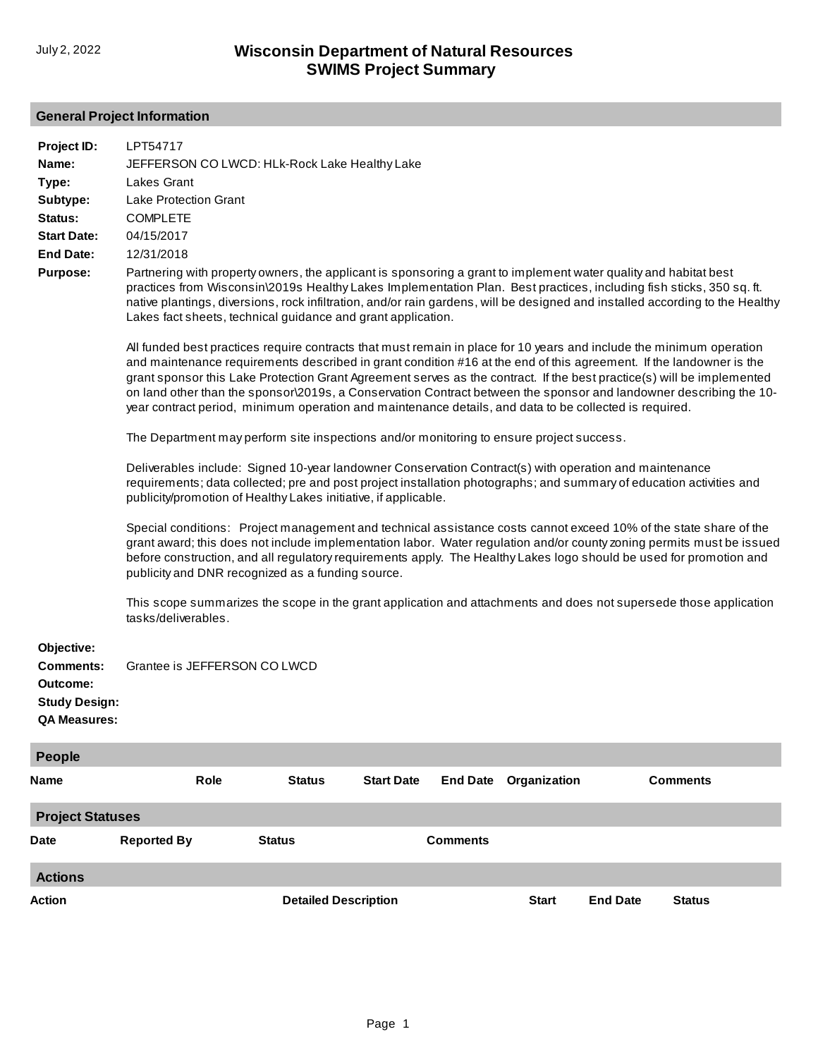# **General Project Information**

| Project ID:                                                                               | LPT54717                                                                                                                                                                                                                                                                                                                                                                                                                                                                                                                                                                                              |                             |                   |                 |              |                 |                 |  |
|-------------------------------------------------------------------------------------------|-------------------------------------------------------------------------------------------------------------------------------------------------------------------------------------------------------------------------------------------------------------------------------------------------------------------------------------------------------------------------------------------------------------------------------------------------------------------------------------------------------------------------------------------------------------------------------------------------------|-----------------------------|-------------------|-----------------|--------------|-----------------|-----------------|--|
| Name:                                                                                     | JEFFERSON CO LWCD: HLk-Rock Lake Healthy Lake                                                                                                                                                                                                                                                                                                                                                                                                                                                                                                                                                         |                             |                   |                 |              |                 |                 |  |
| Type:                                                                                     | <b>Lakes Grant</b>                                                                                                                                                                                                                                                                                                                                                                                                                                                                                                                                                                                    |                             |                   |                 |              |                 |                 |  |
| Subtype:                                                                                  | <b>Lake Protection Grant</b>                                                                                                                                                                                                                                                                                                                                                                                                                                                                                                                                                                          |                             |                   |                 |              |                 |                 |  |
| Status:                                                                                   | <b>COMPLETE</b>                                                                                                                                                                                                                                                                                                                                                                                                                                                                                                                                                                                       |                             |                   |                 |              |                 |                 |  |
| <b>Start Date:</b>                                                                        | 04/15/2017                                                                                                                                                                                                                                                                                                                                                                                                                                                                                                                                                                                            |                             |                   |                 |              |                 |                 |  |
| <b>End Date:</b>                                                                          | 12/31/2018                                                                                                                                                                                                                                                                                                                                                                                                                                                                                                                                                                                            |                             |                   |                 |              |                 |                 |  |
| <b>Purpose:</b>                                                                           | Partnering with property owners, the applicant is sponsoring a grant to implement water quality and habitat best<br>practices from Wisconsin\2019s Healthy Lakes Implementation Plan. Best practices, including fish sticks, 350 sq. ft.<br>native plantings, diversions, rock infiltration, and/or rain gardens, will be designed and installed according to the Healthy<br>Lakes fact sheets, technical guidance and grant application.                                                                                                                                                             |                             |                   |                 |              |                 |                 |  |
|                                                                                           | All funded best practices require contracts that must remain in place for 10 years and include the minimum operation<br>and maintenance requirements described in grant condition #16 at the end of this agreement. If the landowner is the<br>grant sponsor this Lake Protection Grant Agreement serves as the contract. If the best practice(s) will be implemented<br>on land other than the sponsor\2019s, a Conservation Contract between the sponsor and landowner describing the 10-<br>year contract period, minimum operation and maintenance details, and data to be collected is required. |                             |                   |                 |              |                 |                 |  |
|                                                                                           | The Department may perform site inspections and/or monitoring to ensure project success.                                                                                                                                                                                                                                                                                                                                                                                                                                                                                                              |                             |                   |                 |              |                 |                 |  |
|                                                                                           | Deliverables include: Signed 10-year landowner Conservation Contract(s) with operation and maintenance<br>requirements; data collected; pre and post project installation photographs; and summary of education activities and<br>publicity/promotion of Healthy Lakes initiative, if applicable.                                                                                                                                                                                                                                                                                                     |                             |                   |                 |              |                 |                 |  |
|                                                                                           | Special conditions: Project management and technical assistance costs cannot exceed 10% of the state share of the<br>grant award; this does not include implementation labor. Water regulation and/or county zoning permits must be issued<br>before construction, and all regulatory requirements apply. The Healthy Lakes logo should be used for promotion and<br>publicity and DNR recognized as a funding source.                                                                                                                                                                                |                             |                   |                 |              |                 |                 |  |
|                                                                                           | This scope summarizes the scope in the grant application and attachments and does not supersede those application<br>tasks/deliverables.                                                                                                                                                                                                                                                                                                                                                                                                                                                              |                             |                   |                 |              |                 |                 |  |
| Objective:<br><b>Comments:</b><br>Outcome:<br><b>Study Design:</b><br><b>QA Measures:</b> | Grantee is JEFFERSON CO LWCD                                                                                                                                                                                                                                                                                                                                                                                                                                                                                                                                                                          |                             |                   |                 |              |                 |                 |  |
| <b>People</b>                                                                             |                                                                                                                                                                                                                                                                                                                                                                                                                                                                                                                                                                                                       |                             |                   |                 |              |                 |                 |  |
| Name                                                                                      | Role                                                                                                                                                                                                                                                                                                                                                                                                                                                                                                                                                                                                  | <b>Status</b>               | <b>Start Date</b> | <b>End Date</b> | Organization |                 | <b>Comments</b> |  |
| <b>Project Statuses</b>                                                                   |                                                                                                                                                                                                                                                                                                                                                                                                                                                                                                                                                                                                       |                             |                   |                 |              |                 |                 |  |
| Date                                                                                      | <b>Reported By</b>                                                                                                                                                                                                                                                                                                                                                                                                                                                                                                                                                                                    | <b>Status</b>               |                   | <b>Comments</b> |              |                 |                 |  |
| <b>Actions</b>                                                                            |                                                                                                                                                                                                                                                                                                                                                                                                                                                                                                                                                                                                       |                             |                   |                 |              |                 |                 |  |
| Action                                                                                    |                                                                                                                                                                                                                                                                                                                                                                                                                                                                                                                                                                                                       | <b>Detailed Description</b> |                   |                 | <b>Start</b> | <b>End Date</b> | <b>Status</b>   |  |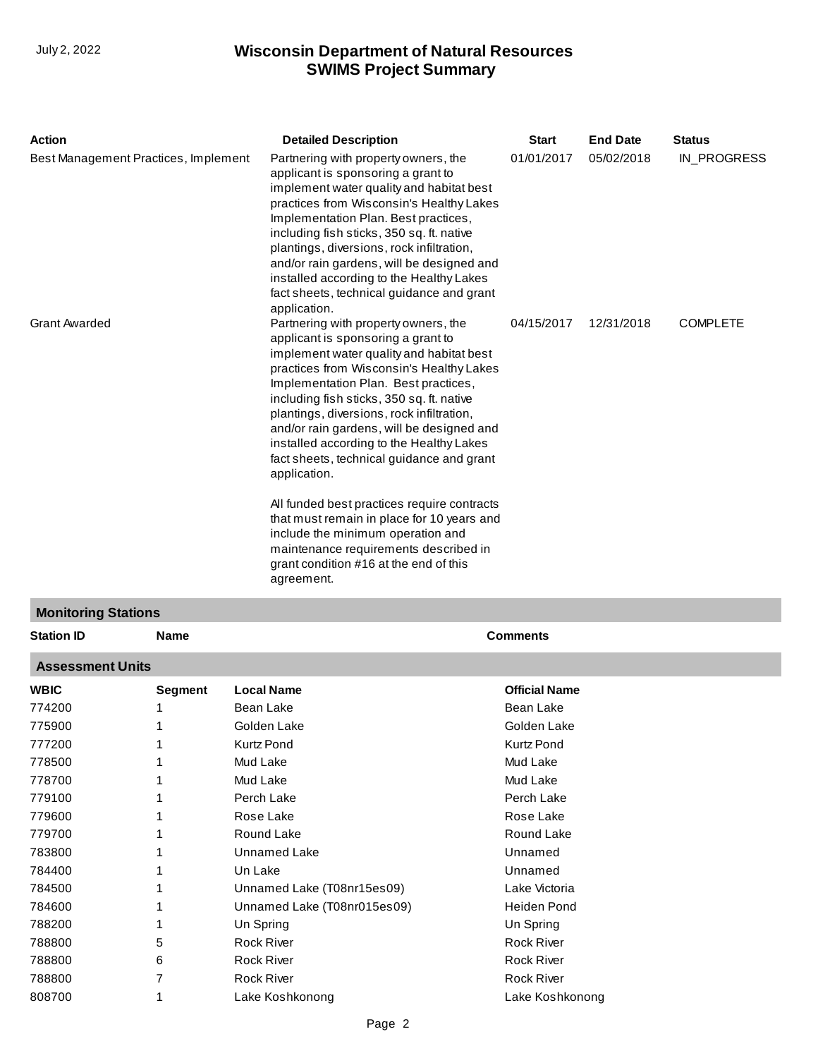| <b>Action</b>                        | <b>Detailed Description</b>                                                                                                                                                                                                                                                                                                                                                                                                                                                                               | <b>Start</b> | <b>End Date</b> | <b>Status</b>   |
|--------------------------------------|-----------------------------------------------------------------------------------------------------------------------------------------------------------------------------------------------------------------------------------------------------------------------------------------------------------------------------------------------------------------------------------------------------------------------------------------------------------------------------------------------------------|--------------|-----------------|-----------------|
| Best Management Practices, Implement | Partnering with property owners, the<br>applicant is sponsoring a grant to<br>implement water quality and habitat best<br>practices from Wisconsin's Healthy Lakes<br>Implementation Plan. Best practices,<br>including fish sticks, 350 sq. ft. native<br>plantings, diversions, rock infiltration,<br>and/or rain gardens, will be designed and<br>installed according to the Healthy Lakes<br>fact sheets, technical guidance and grant<br>application.                                                | 01/01/2017   | 05/02/2018      | IN PROGRESS     |
| <b>Grant Awarded</b>                 | Partnering with property owners, the<br>applicant is sponsoring a grant to<br>implement water quality and habitat best<br>practices from Wisconsin's Healthy Lakes<br>Implementation Plan. Best practices,<br>including fish sticks, 350 sq. ft. native<br>plantings, diversions, rock infiltration,<br>and/or rain gardens, will be designed and<br>installed according to the Healthy Lakes<br>fact sheets, technical guidance and grant<br>application.<br>All funded best practices require contracts | 04/15/2017   | 12/31/2018      | <b>COMPLETE</b> |
|                                      | that must remain in place for 10 years and<br>include the minimum operation and<br>maintenance requirements described in<br>grant condition #16 at the end of this<br>agreement.                                                                                                                                                                                                                                                                                                                          |              |                 |                 |
| <b>Monitoring Stations</b>           |                                                                                                                                                                                                                                                                                                                                                                                                                                                                                                           |              |                 |                 |

| <b>Station ID</b>       | <b>Name</b>    |                             | <b>Comments</b>      |  |  |  |  |  |
|-------------------------|----------------|-----------------------------|----------------------|--|--|--|--|--|
| <b>Assessment Units</b> |                |                             |                      |  |  |  |  |  |
| <b>WBIC</b>             | <b>Segment</b> | <b>Local Name</b>           | <b>Official Name</b> |  |  |  |  |  |
| 774200                  |                | Bean Lake                   | Bean Lake            |  |  |  |  |  |
| 775900                  |                | Golden Lake                 | Golden Lake          |  |  |  |  |  |
| 777200                  |                | <b>Kurtz Pond</b>           | <b>Kurtz Pond</b>    |  |  |  |  |  |
| 778500                  |                | Mud Lake                    | Mud Lake             |  |  |  |  |  |
| 778700                  |                | Mud Lake                    | Mud Lake             |  |  |  |  |  |
| 779100                  |                | Perch Lake                  | Perch Lake           |  |  |  |  |  |
| 779600                  |                | Rose Lake                   | Rose Lake            |  |  |  |  |  |
| 779700                  |                | Round Lake                  | Round Lake           |  |  |  |  |  |
| 783800                  |                | Unnamed Lake                | Unnamed              |  |  |  |  |  |
| 784400                  |                | Un Lake                     | Unnamed              |  |  |  |  |  |
| 784500                  |                | Unnamed Lake (T08nr15es09)  | Lake Victoria        |  |  |  |  |  |
| 784600                  |                | Unnamed Lake (T08nr015es09) | <b>Heiden Pond</b>   |  |  |  |  |  |
| 788200                  |                | Un Spring                   | Un Spring            |  |  |  |  |  |
| 788800                  | 5              | <b>Rock River</b>           | Rock River           |  |  |  |  |  |
| 788800                  | 6              | <b>Rock River</b>           | <b>Rock River</b>    |  |  |  |  |  |
| 788800                  | 7              | <b>Rock River</b>           | <b>Rock River</b>    |  |  |  |  |  |
| 808700                  |                | Lake Koshkonong             | Lake Koshkonong      |  |  |  |  |  |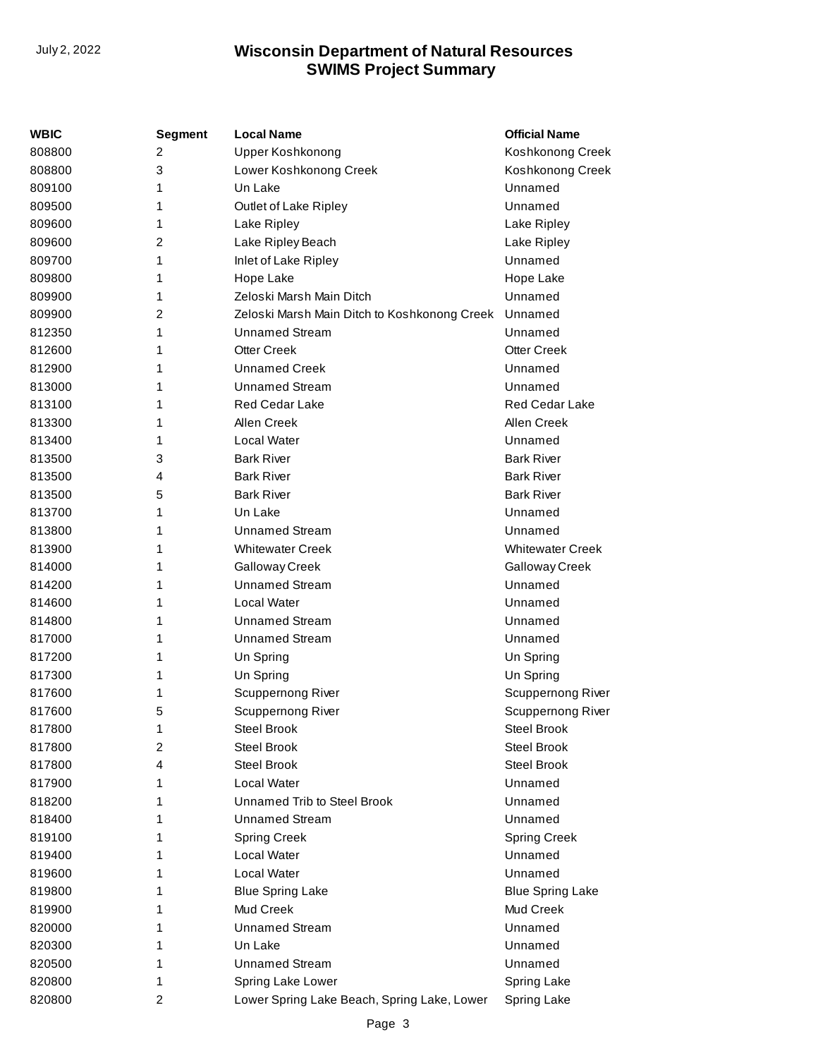| WBIC   | <b>Segment</b>          | <b>Local Name</b>                            | <b>Official Name</b>    |
|--------|-------------------------|----------------------------------------------|-------------------------|
| 808800 | 2                       | Upper Koshkonong                             | Koshkonong Creek        |
| 808800 | 3                       | Lower Koshkonong Creek                       | Koshkonong Creek        |
| 809100 | 1                       | Un Lake                                      | Unnamed                 |
| 809500 | 1                       | Outlet of Lake Ripley                        | Unnamed                 |
| 809600 | 1                       | Lake Ripley                                  | Lake Ripley             |
| 809600 | 2                       | Lake Ripley Beach                            | Lake Ripley             |
| 809700 | 1                       | Inlet of Lake Ripley                         | Unnamed                 |
| 809800 | 1                       | Hope Lake                                    | Hope Lake               |
| 809900 | 1                       | Zeloski Marsh Main Ditch                     | Unnamed                 |
| 809900 | 2                       | Zeloski Marsh Main Ditch to Koshkonong Creek | Unnamed                 |
| 812350 | 1                       | Unnamed Stream                               | Unnamed                 |
| 812600 | 1                       | <b>Otter Creek</b>                           | <b>Otter Creek</b>      |
| 812900 | 1                       | <b>Unnamed Creek</b>                         | Unnamed                 |
| 813000 | 1                       | <b>Unnamed Stream</b>                        | Unnamed                 |
| 813100 | 1                       | <b>Red Cedar Lake</b>                        | <b>Red Cedar Lake</b>   |
| 813300 | 1                       | Allen Creek                                  | Allen Creek             |
| 813400 | 1                       | Local Water                                  | Unnamed                 |
| 813500 | 3                       | <b>Bark River</b>                            | <b>Bark River</b>       |
| 813500 | 4                       | <b>Bark River</b>                            | <b>Bark River</b>       |
| 813500 | 5                       | <b>Bark River</b>                            | <b>Bark River</b>       |
| 813700 | 1                       | Un Lake                                      | Unnamed                 |
| 813800 | 1                       | <b>Unnamed Stream</b>                        | Unnamed                 |
| 813900 | 1                       | <b>Whitewater Creek</b>                      | <b>Whitewater Creek</b> |
| 814000 | 1                       | Galloway Creek                               | Galloway Creek          |
| 814200 | 1                       | <b>Unnamed Stream</b>                        | Unnamed                 |
| 814600 | 1                       | Local Water                                  | Unnamed                 |
| 814800 | 1                       | <b>Unnamed Stream</b>                        | Unnamed                 |
| 817000 | 1                       | <b>Unnamed Stream</b>                        | Unnamed                 |
| 817200 | 1                       | Un Spring                                    | Un Spring               |
| 817300 | 1                       | Un Spring                                    | Un Spring               |
| 817600 | 1                       | Scuppernong River                            | Scuppernong River       |
| 817600 | 5                       | Scuppernong River                            | Scuppernong River       |
| 817800 | 1                       | Steel Brook                                  | <b>Steel Brook</b>      |
| 817800 | 2                       | <b>Steel Brook</b>                           | <b>Steel Brook</b>      |
| 817800 | 4                       | <b>Steel Brook</b>                           | <b>Steel Brook</b>      |
| 817900 | 1                       | Local Water                                  | Unnamed                 |
| 818200 | 1                       | Unnamed Trib to Steel Brook                  | Unnamed                 |
| 818400 | 1                       | <b>Unnamed Stream</b>                        | Unnamed                 |
| 819100 | 1                       | <b>Spring Creek</b>                          | <b>Spring Creek</b>     |
| 819400 | 1                       | Local Water                                  | Unnamed                 |
| 819600 | 1                       | Local Water                                  | Unnamed                 |
| 819800 | 1                       | <b>Blue Spring Lake</b>                      | <b>Blue Spring Lake</b> |
| 819900 | 1                       | Mud Creek                                    | Mud Creek               |
| 820000 | 1                       | <b>Unnamed Stream</b>                        | Unnamed                 |
| 820300 | 1                       | Un Lake                                      | Unnamed                 |
| 820500 | 1                       | <b>Unnamed Stream</b>                        | Unnamed                 |
| 820800 | 1                       | Spring Lake Lower                            | Spring Lake             |
| 820800 | $\overline{\mathbf{c}}$ | Lower Spring Lake Beach, Spring Lake, Lower  | Spring Lake             |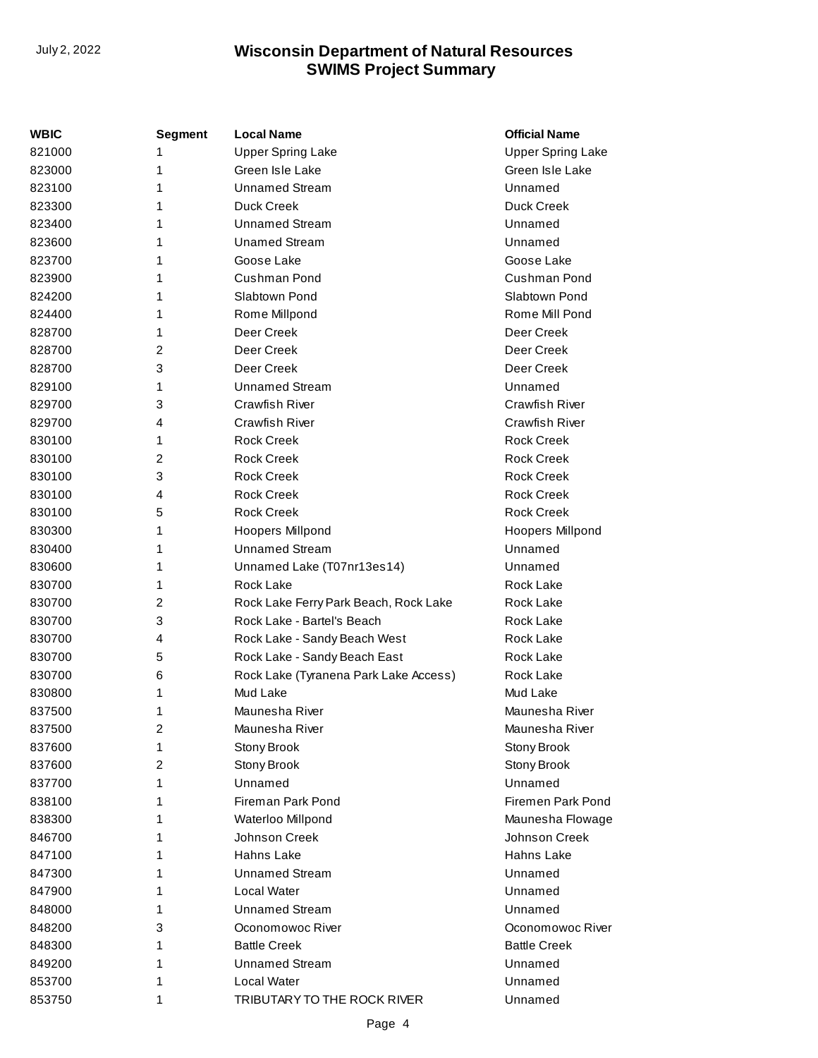| WBIC   | <b>Segment</b> | <b>Local Name</b>                     | <b>Official Name</b>     |
|--------|----------------|---------------------------------------|--------------------------|
| 821000 | 1              | <b>Upper Spring Lake</b>              | <b>Upper Spring Lake</b> |
| 823000 | 1              | Green Isle Lake                       | Green Isle Lake          |
| 823100 | 1              | <b>Unnamed Stream</b>                 | Unnamed                  |
| 823300 | 1              | Duck Creek                            | Duck Creek               |
| 823400 | 1              | <b>Unnamed Stream</b>                 | Unnamed                  |
| 823600 | 1              | <b>Unamed Stream</b>                  | Unnamed                  |
| 823700 | 1              | Goose Lake                            | Goose Lake               |
| 823900 | 1              | Cushman Pond                          | Cushman Pond             |
| 824200 | 1              | Slabtown Pond                         | Slabtown Pond            |
| 824400 | 1              | Rome Millpond                         | Rome Mill Pond           |
| 828700 | 1              | Deer Creek                            | Deer Creek               |
| 828700 | 2              | Deer Creek                            | Deer Creek               |
| 828700 | 3              | Deer Creek                            | Deer Creek               |
| 829100 | 1              | <b>Unnamed Stream</b>                 | Unnamed                  |
| 829700 | 3              | Crawfish River                        | Crawfish River           |
| 829700 | 4              | Crawfish River                        | Crawfish River           |
| 830100 | 1              | <b>Rock Creek</b>                     | <b>Rock Creek</b>        |
| 830100 | 2              | <b>Rock Creek</b>                     | <b>Rock Creek</b>        |
| 830100 | 3              | <b>Rock Creek</b>                     | <b>Rock Creek</b>        |
| 830100 | 4              | <b>Rock Creek</b>                     | <b>Rock Creek</b>        |
| 830100 | 5              | <b>Rock Creek</b>                     | <b>Rock Creek</b>        |
| 830300 | 1              | Hoopers Millpond                      | Hoopers Millpond         |
| 830400 | 1              | <b>Unnamed Stream</b>                 | Unnamed                  |
| 830600 | 1              | Unnamed Lake (T07nr13es14)            | Unnamed                  |
| 830700 | 1              | Rock Lake                             | Rock Lake                |
| 830700 | 2              | Rock Lake Ferry Park Beach, Rock Lake | Rock Lake                |
| 830700 | 3              | Rock Lake - Bartel's Beach            | Rock Lake                |
| 830700 | 4              | Rock Lake - Sandy Beach West          | Rock Lake                |
| 830700 | 5              | Rock Lake - Sandy Beach East          | Rock Lake                |
| 830700 | 6              | Rock Lake (Tyranena Park Lake Access) | Rock Lake                |
| 830800 | 1              | Mud Lake                              | Mud Lake                 |
| 837500 | 1              | Maunesha River                        | Maunesha River           |
| 837500 | 2              | Maunesha River                        | Maunesha River           |
| 837600 | 1              | Stony Brook                           | Stony Brook              |
| 837600 | 2              | Stony Brook                           | Stony Brook              |
| 837700 | 1              | Unnamed                               | Unnamed                  |
| 838100 | 1              | <b>Fireman Park Pond</b>              | Firemen Park Pond        |
| 838300 | 1              | Waterloo Millpond                     | Maunesha Flowage         |
| 846700 | 1              | Johnson Creek                         | Johnson Creek            |
| 847100 | 1              | Hahns Lake                            | Hahns Lake               |
| 847300 | 1              | <b>Unnamed Stream</b>                 | Unnamed                  |
| 847900 | 1              | Local Water                           | Unnamed                  |
| 848000 | 1              | <b>Unnamed Stream</b>                 | Unnamed                  |
| 848200 | 3              | Oconomowoc River                      | Oconomowoc River         |
| 848300 | 1              | <b>Battle Creek</b>                   | <b>Battle Creek</b>      |
| 849200 | 1              | <b>Unnamed Stream</b>                 | Unnamed                  |
| 853700 | 1              | Local Water                           | Unnamed                  |
| 853750 | 1              | TRIBUTARY TO THE ROCK RIVER           | Unnamed                  |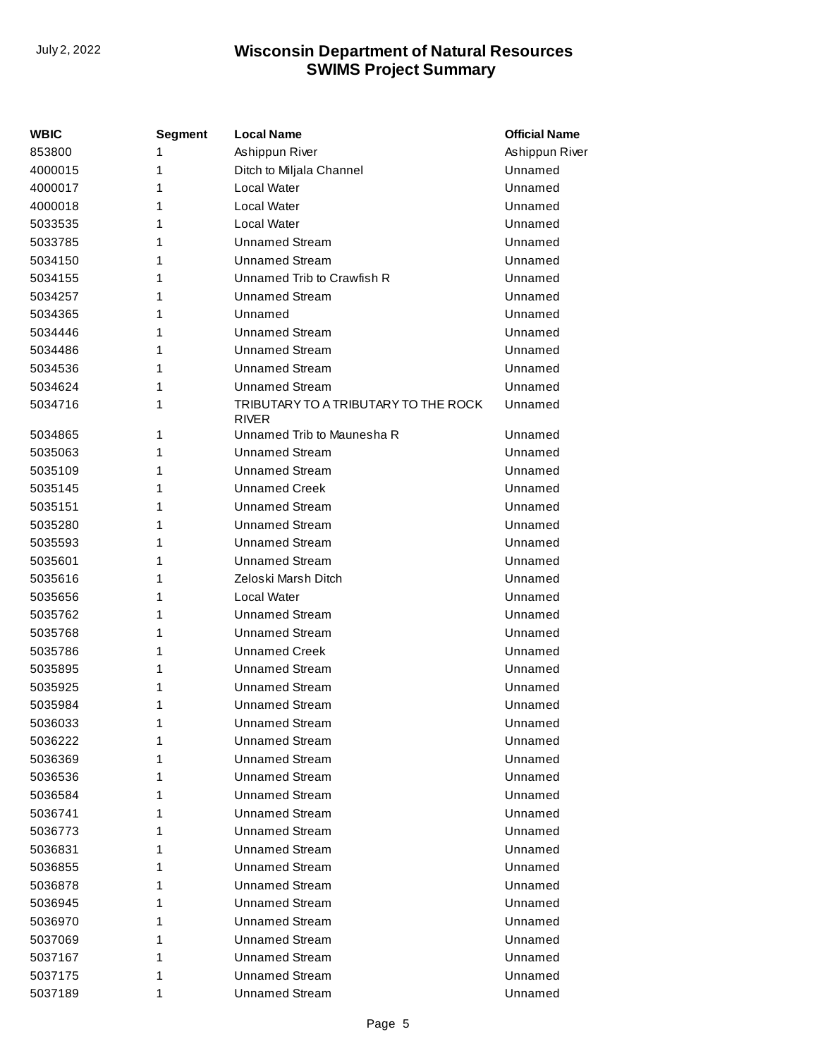| <b>WBIC</b> | Segment | <b>Local Name</b>                                    | <b>Official Name</b> |
|-------------|---------|------------------------------------------------------|----------------------|
| 853800      | 1       | Ashippun River                                       | Ashippun River       |
| 4000015     | 1       | Ditch to Miljala Channel                             | Unnamed              |
| 4000017     | 1       | <b>Local Water</b>                                   | Unnamed              |
| 4000018     | 1       | <b>Local Water</b>                                   | Unnamed              |
| 5033535     | 1       | <b>Local Water</b>                                   | Unnamed              |
| 5033785     | 1       | <b>Unnamed Stream</b>                                | Unnamed              |
| 5034150     | 1       | <b>Unnamed Stream</b>                                | Unnamed              |
| 5034155     | 1       | Unnamed Trib to Crawfish R                           | Unnamed              |
| 5034257     | 1       | <b>Unnamed Stream</b>                                | Unnamed              |
| 5034365     | 1       | Unnamed                                              | Unnamed              |
| 5034446     | 1       | Unnamed Stream                                       | Unnamed              |
| 5034486     | 1       | <b>Unnamed Stream</b>                                | Unnamed              |
| 5034536     | 1       | <b>Unnamed Stream</b>                                | Unnamed              |
| 5034624     | 1       | <b>Unnamed Stream</b>                                | Unnamed              |
| 5034716     | 1       | TRIBUTARY TO A TRIBUTARY TO THE ROCK<br><b>RIVER</b> | Unnamed              |
| 5034865     | 1       | Unnamed Trib to Maunesha R                           | Unnamed              |
| 5035063     | 1       | <b>Unnamed Stream</b>                                | Unnamed              |
| 5035109     | 1       | <b>Unnamed Stream</b>                                | Unnamed              |
| 5035145     | 1       | <b>Unnamed Creek</b>                                 | Unnamed              |
| 5035151     | 1       | <b>Unnamed Stream</b>                                | Unnamed              |
| 5035280     | 1       | <b>Unnamed Stream</b>                                | Unnamed              |
| 5035593     | 1       | <b>Unnamed Stream</b>                                | Unnamed              |
| 5035601     | 1       | <b>Unnamed Stream</b>                                | Unnamed              |
| 5035616     | 1       | Zeloski Marsh Ditch                                  | Unnamed              |
| 5035656     | 1       | <b>Local Water</b>                                   | Unnamed              |
| 5035762     | 1       | <b>Unnamed Stream</b>                                | Unnamed              |
| 5035768     | 1       | <b>Unnamed Stream</b>                                | Unnamed              |
| 5035786     | 1       | <b>Unnamed Creek</b>                                 | Unnamed              |
| 5035895     | 1       | <b>Unnamed Stream</b>                                | Unnamed              |
| 5035925     | 1       | <b>Unnamed Stream</b>                                | Unnamed              |
| 5035984     | 1       | <b>Unnamed Stream</b>                                | Unnamed              |
| 5036033     | 1       | <b>Unnamed Stream</b>                                | Unnamed              |
| 5036222     | 1       | <b>Unnamed Stream</b>                                | Unnamed              |
| 5036369     | 1       | <b>Unnamed Stream</b>                                | Unnamed              |
| 5036536     | 1       | <b>Unnamed Stream</b>                                | Unnamed              |
| 5036584     | 1       | <b>Unnamed Stream</b>                                | Unnamed              |
| 5036741     | 1       | <b>Unnamed Stream</b>                                | Unnamed              |
| 5036773     | 1       | <b>Unnamed Stream</b>                                | Unnamed              |
| 5036831     | 1       | <b>Unnamed Stream</b>                                | Unnamed              |
| 5036855     | 1       | <b>Unnamed Stream</b>                                | Unnamed              |
| 5036878     | 1       | <b>Unnamed Stream</b>                                | Unnamed              |
| 5036945     | 1       | <b>Unnamed Stream</b>                                | Unnamed              |
| 5036970     | 1       | <b>Unnamed Stream</b>                                | Unnamed              |
| 5037069     | 1       | <b>Unnamed Stream</b>                                | Unnamed              |
| 5037167     | 1       | <b>Unnamed Stream</b>                                | Unnamed              |
| 5037175     | 1       | <b>Unnamed Stream</b>                                | Unnamed              |
| 5037189     | 1       | <b>Unnamed Stream</b>                                | Unnamed              |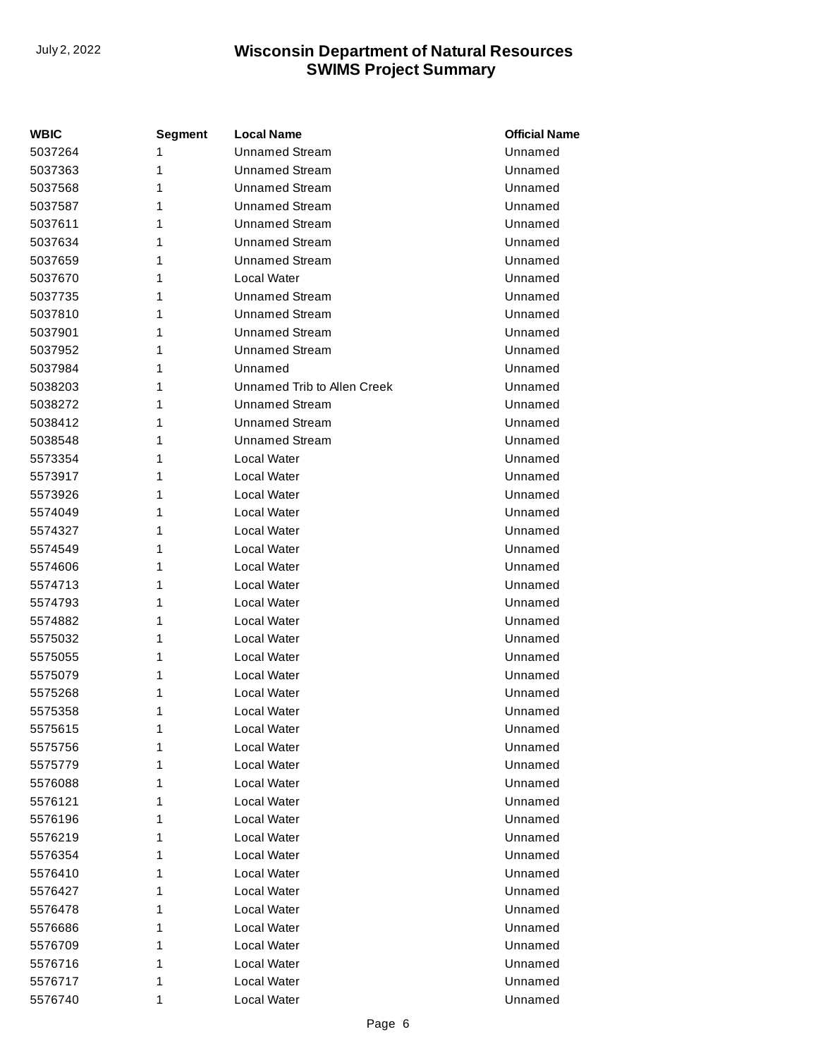| WBIC    | Segment | <b>Local Name</b>           | <b>Official Name</b> |
|---------|---------|-----------------------------|----------------------|
| 5037264 | 1       | <b>Unnamed Stream</b>       | Unnamed              |
| 5037363 | 1       | <b>Unnamed Stream</b>       | Unnamed              |
| 5037568 | 1       | <b>Unnamed Stream</b>       | Unnamed              |
| 5037587 | 1       | <b>Unnamed Stream</b>       | Unnamed              |
| 5037611 | 1       | <b>Unnamed Stream</b>       | Unnamed              |
| 5037634 | 1       | <b>Unnamed Stream</b>       | Unnamed              |
| 5037659 | 1       | <b>Unnamed Stream</b>       | Unnamed              |
| 5037670 | 1       | Local Water                 | Unnamed              |
| 5037735 | 1       | <b>Unnamed Stream</b>       | Unnamed              |
| 5037810 | 1       | <b>Unnamed Stream</b>       | Unnamed              |
| 5037901 | 1       | <b>Unnamed Stream</b>       | Unnamed              |
| 5037952 | 1       | <b>Unnamed Stream</b>       | Unnamed              |
| 5037984 | 1       | Unnamed                     | Unnamed              |
| 5038203 | 1       | Unnamed Trib to Allen Creek | Unnamed              |
| 5038272 | 1       | Unnamed Stream              | Unnamed              |
| 5038412 | 1       | <b>Unnamed Stream</b>       | Unnamed              |
| 5038548 | 1       | <b>Unnamed Stream</b>       | Unnamed              |
| 5573354 | 1       | Local Water                 | Unnamed              |
| 5573917 | 1       | Local Water                 | Unnamed              |
| 5573926 | 1       | Local Water                 | Unnamed              |
| 5574049 | 1       | Local Water                 | Unnamed              |
| 5574327 | 1       | Local Water                 | Unnamed              |
| 5574549 | 1       | Local Water                 | Unnamed              |
| 5574606 | 1       | Local Water                 | Unnamed              |
| 5574713 | 1       | Local Water                 | Unnamed              |
| 5574793 | 1       | Local Water                 | Unnamed              |
| 5574882 | 1       | Local Water                 | Unnamed              |
| 5575032 | 1       | Local Water                 | Unnamed              |
| 5575055 | 1       | Local Water                 | Unnamed              |
| 5575079 | 1       | Local Water                 | Unnamed              |
| 5575268 | 1       | Local Water                 | Unnamed              |
| 5575358 | 1       | Local Water                 | Unnamed              |
| 5575615 | 1       | Local Water                 | Unnamed              |
| 5575756 | 1       | Local Water                 | Unnamed              |
| 5575779 | 1       | Local Water                 | Unnamed              |
| 5576088 | 1       | Local Water                 | Unnamed              |
| 5576121 | 1       | Local Water                 | Unnamed              |
| 5576196 | 1       | Local Water                 | Unnamed              |
| 5576219 | 1       | Local Water                 | Unnamed              |
| 5576354 | 1       | Local Water                 | Unnamed              |
| 5576410 | 1       | Local Water                 | Unnamed              |
| 5576427 | 1       | Local Water                 | Unnamed              |
| 5576478 | 1       | Local Water                 | Unnamed              |
| 5576686 | 1       | Local Water                 | Unnamed              |
| 5576709 | 1       | Local Water                 | Unnamed              |
| 5576716 | 1       | Local Water                 | Unnamed              |
| 5576717 | 1       | Local Water                 | Unnamed              |
| 5576740 | 1       | Local Water                 | Unnamed              |